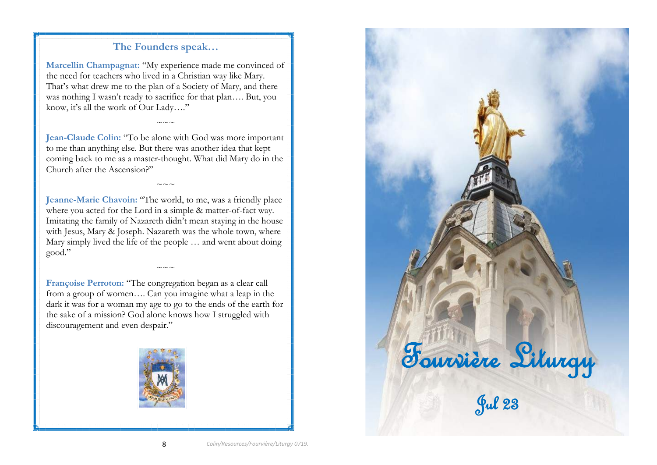# **The Founders speak…**

**Marcellin Champagnat:** "My experience made me convinced of the need for teachers who lived in a Christian way like Mary. That's what drew me to the plan of a Society of Mary, and there was nothing I wasn't ready to sacrifice for that plan…. But, you know, it's all the work of Our Lady…."

**Jean-Claude Colin:** "To be alone with God was more important to me than anything else. But there was another idea that kept coming back to me as a master-thought. What did Mary do in the Church after the Ascension?"

 $\sim\sim\sim$ 

 $\sim$ 

**Jeanne-Marie Chavoin:** "The world, to me, was a friendly place where you acted for the Lord in a simple & matter-of-fact way. Imitating the family of Nazareth didn't mean staying in the house with Jesus, Mary & Joseph. Nazareth was the whole town, where Mary simply lived the life of the people … and went about doing good."

**Françoise Perroton:** "The congregation began as a clear call from a group of women…. Can you imagine what a leap in the dark it was for a woman my age to go to the ends of the earth for the sake of a mission? God alone knows how I struggled with discouragement and even despair."

 $\sim\sim\sim$ 



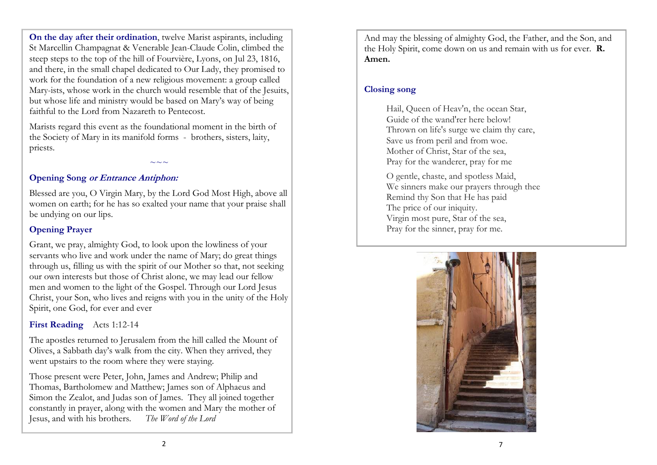**On the day after their ordination**, twelve Marist aspirants, including St Marcellin Champagnat & Venerable Jean-Claude Colin, climbed the steep steps to the top of the hill of Fourvière, Lyons, on Jul 23, 1816, and there, in the small chapel dedicated to Our Lady, they promised to work for the foundation of a new religious movement: a group called Mary-ists, whose work in the church would resemble that of the Jesuits, but whose life and ministry would be based on Mary's way of being faithful to the Lord from Nazareth to Pentecost.

Marists regard this event as the foundational moment in the birth of the Society of Mary in its manifold forms - brothers, sisters, laity, priests.

### **Opening Song or Entrance Antiphon:**

Blessed are you, O Virgin Mary, by the Lord God Most High, above all women on earth; for he has so exalted your name that your praise shall be undying on our lips.

~~~

## **Opening Prayer**

Grant, we pray, almighty God, to look upon the lowliness of your servants who live and work under the name of Mary; do great things through us, filling us with the spirit of our Mother so that, not seeking our own interests but those of Christ alone, we may lead our fellow men and women to the light of the Gospel. Through our Lord Jesus Christ, your Son, who lives and reigns with you in the unity of the Holy Spirit, one God, for ever and ever

**First Reading** Acts 1:12-14

The apostles returned to Jerusalem from the hill called the Mount of Olives, a Sabbath day's walk from the city. When they arrived, they went upstairs to the room where they were staying.

Those present were Peter, John, James and Andrew; Philip and Thomas, Bartholomew and Matthew; James son of Alphaeus and Simon the Zealot, and Judas son of James. They all joined together constantly in prayer, along with the women and Mary the mother of Jesus, and with his brothers. *The Word of the Lord*

And may the blessing of almighty God, the Father, and the Son, and the Holy Spirit, come down on us and remain with us for ever. **R. Amen.**

## **Closing song**

Hail, Queen of Heav'n, the ocean Star, Guide of the wand'rer here below! Thrown on life's surge we claim thy care, Save us from peril and from woe. Mother of Christ, Star of the sea, Pray for the wanderer, pray for me

O gentle, chaste, and spotless Maid, We sinners make our prayers through thee Remind thy Son that He has paid The price of our iniquity. Virgin most pure, Star of the sea, Pray for the sinner, pray for me.

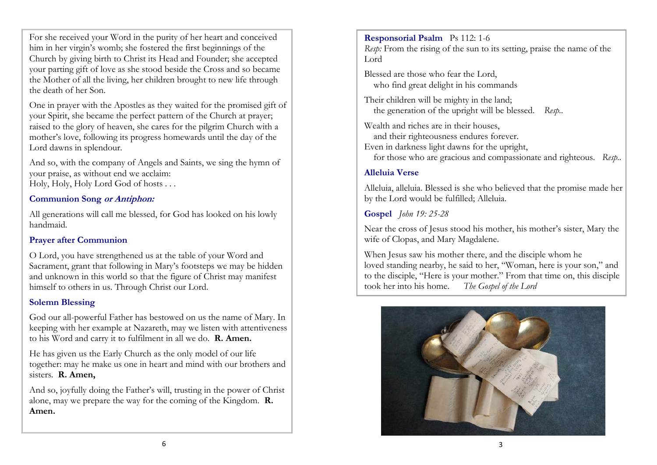For she received your Word in the purity of her heart and conceived him in her virgin's womb; she fostered the first beginnings of the Church by giving birth to Christ its Head and Founder; she accepted your parting gift of love as she stood beside the Cross and so became the Mother of all the living, her children brought to new life through the death of her Son.

One in prayer with the Apostles as they waited for the promised gift of your Spirit, she became the perfect pattern of the Church at prayer; raised to the glory of heaven, she cares for the pilgrim Church with a mother's love, following its progress homewards until the day of the Lord dawns in splendour.

And so, with the company of Angels and Saints, we sing the hymn of your praise, as without end we acclaim: Holy, Holy, Holy Lord God of hosts . . .

# **Communion Song or Antiphon:**

All generations will call me blessed, for God has looked on his lowly handmaid.

### **Prayer after Communion**

O Lord, you have strengthened us at the table of your Word and Sacrament, grant that following in Mary's footsteps we may be hidden and unknown in this world so that the figure of Christ may manifest himself to others in us. Through Christ our Lord.

### **Solemn Blessing**

God our all-powerful Father has bestowed on us the name of Mary. In keeping with her example at Nazareth, may we listen with attentiveness to his Word and carry it to fulfilment in all we do. **R. Amen.**

He has given us the Early Church as the only model of our life together: may he make us one in heart and mind with our brothers and sisters. **R. Amen,**

And so, joyfully doing the Father's will, trusting in the power of Christ alone, may we prepare the way for the coming of the Kingdom. **R. Amen.**

**Responsorial Psalm** Ps 112: 1-6

*Resp:* From the rising of the sun to its setting, praise the name of the Lord

Blessed are those who fear the Lord, who find great delight in his commands

Their children will be mighty in the land; the generation of the upright will be blessed. *Resp..*

Wealth and riches are in their houses, and their righteousness endures forever. Even in darkness light dawns for the upright, for those who are gracious and compassionate and righteous. *Resp..*

# **Alleluia Verse**

Alleluia, alleluia. Blessed is she who believed that the promise made her by the Lord would be fulfilled; Alleluia.

**Gospel** *John 19: 25-28*

Near the cross of Jesus stood his mother, his mother's sister, Mary the wife of Clopas, and Mary Magdalene.

When Jesus saw his mother there, and the disciple whom he loved standing nearby, he said to her, "Woman, here is your son," and to the disciple, "Here is your mother." From that time on, this disciple took her into his home. The Gospel of the Lord took her into his home.